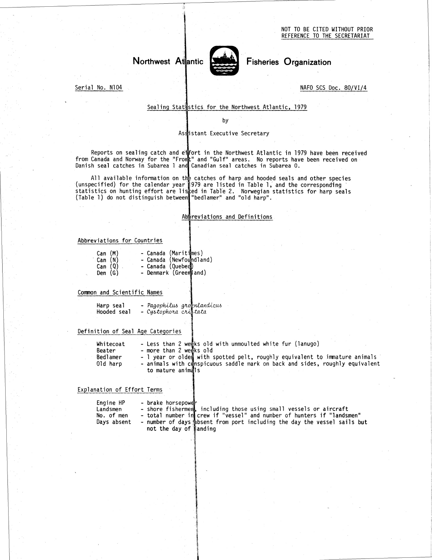NOT TO BE CITED WITHOUT PRIOR REFERENCE TO THE SECRETARIAT



Serial No. N104

 

### Sealing Statistics for the Northwest Atlantic, 1979

by

# Assistant Executive Secretary

Reports on sealing catch and effort in the Northwest Atlantic in 1979 have been received from Canada and Norway for the "Fromt" and "Gulf" areas. No reports have been received o Danish seal catches in Subarea 1 and Canadian seal catches in Subarea O

All available information on the catches of harp and hooded seals and other species (unspecified) for the calendar year 1979 are listed in Table 1, and the corresponding statistics on hunting effort are listed in Table 2. Norwegian statistics for harp seals (Table 1) do not distinguish between "bedlamer" and "old harp".

#### Abbreviations and Definitions

# Abbreviations for Countries

|                                                                                                                                                                                  |                                                                                                                                        | Assistant Exec |
|----------------------------------------------------------------------------------------------------------------------------------------------------------------------------------|----------------------------------------------------------------------------------------------------------------------------------------|----------------|
| eports on sealing catch and effort in the<br>anada and Norway for the "Fromt" and "Gul<br>seal catches in Subarea 1 and Canadian s                                               |                                                                                                                                        |                |
| ll available information on the catches c<br>cified) for the calendar year 1979 are li<br>tics on hunting effort are listed in Tabl.<br>1) do not distinguish between "bedlamer" |                                                                                                                                        |                |
|                                                                                                                                                                                  |                                                                                                                                        | Abbreviations  |
| viations for Countries                                                                                                                                                           |                                                                                                                                        |                |
| Can (M) - Canada (maritellis)<br>Can (N) - Canada (Newfoundland)<br>Can (Q) - Canada (Quebec)<br>nen (G) - Denmark (Greenland)                                                   |                                                                                                                                        |                |
| n and Scientific Names                                                                                                                                                           |                                                                                                                                        |                |
| Harp seal - Pagophilus grognlandicus<br>Hooded seal - Cystophora cristata                                                                                                        |                                                                                                                                        |                |
| ition of Seal Age Categories                                                                                                                                                     |                                                                                                                                        |                |
| Whitecoat<br>Beater<br>Bedlamer<br>Old harp                                                                                                                                      | - Less than 2 weeks old wi<br>- more than 2 weeks old<br>- 1 year or older with spo<br>- animals with conspicuous<br>to mature animals |                |
|                                                                                                                                                                                  |                                                                                                                                        |                |

#### Common and Scientific Names

| Harp seal   |                     | Pagophilus groenlandicus |
|-------------|---------------------|--------------------------|
| Hooded seal | Custophora cristata |                          |

## Definition of Seal Age Categories

- 
- 

diations for Countries<br>
Can (M) - Canada (Maritimes)<br>
Can (Q) - Canada (Newtondiand)<br>
Can (Q) - Canada (Quebec)<br>
Den (G) - Denmark (Greenland)<br>
and Scientific Names<br>
Harp seal - *Pagophilus groenlandicus*<br>
Hooded seal - *C* iations for Countries<br>
Can (M) - Canada (Newfoundland)<br>
Can (R) - Canada (Newfoundland)<br>
Den (G) - Demmark (Green and)<br>
and Scientific Names<br>
Harp seal - *Pagophilus groenlandicus*<br>
Hooded seal - *Cystophora crucical*<br>
Min The Countries (Countries)<br>
Can (N) - Canada (Naritynes)<br>
Can (Q) - Canada (Quebec)<br>
Den (G) - Demmark (Greemland)<br>
and Scientific Names<br>
Harp seal - Pagophilus graphandicus<br>
Hooded seal - Cystophora crustata<br>
tion of Seal to mature animals

## Explanation of Effort Terms

| n and Scientific Names                             |                                                                                                                                                                                                                                                                           |
|----------------------------------------------------|---------------------------------------------------------------------------------------------------------------------------------------------------------------------------------------------------------------------------------------------------------------------------|
| Harp seal<br>Hooded seal                           | - Pagophilus groenlandicus<br>- Cystophora cristata                                                                                                                                                                                                                       |
|                                                    | ition of Seal Age Categories                                                                                                                                                                                                                                              |
| Whitecoat<br>Beater<br>Bedlamer<br>Old harp        | - Less than 2 weeks old with unmoulted white fur (lanugo)<br>- more than 2 weeks old<br>- 1 year or olded with spotted pelt, roughly equivalent to immature anima<br>- animals with conspicuous saddle mark on back and sides, roughly equival<br>to mature animals       |
| nation of Effort Terms                             |                                                                                                                                                                                                                                                                           |
| Engine HP<br>Landsmen<br>No. of men<br>Days absent | - brake horsepower<br>- shore fisherment, including those using small vessels or aircraft<br>- total number in crew if "vessel" and number of hunters if "landsmen"<br>- number of days absent from port including the day the vessel sails but<br>not the day of Nanding |
|                                                    |                                                                                                                                                                                                                                                                           |